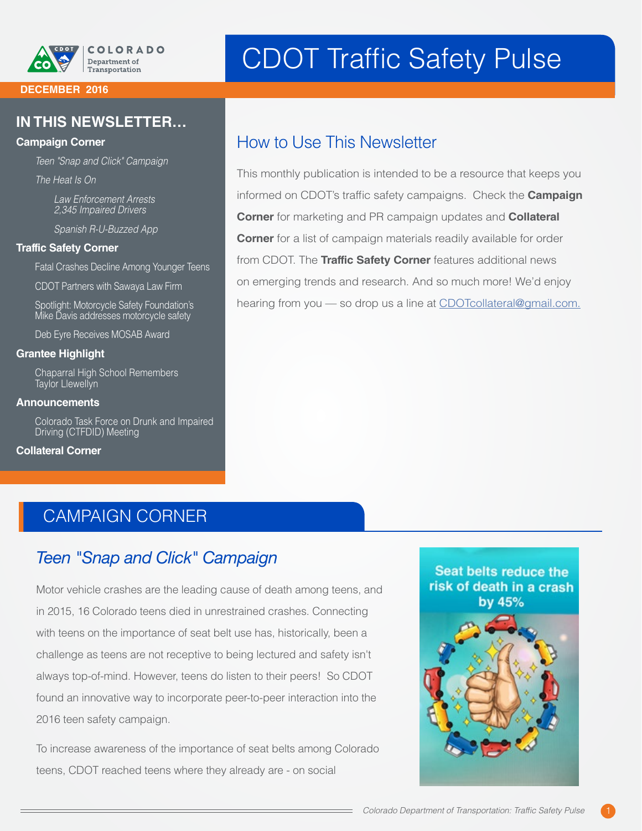

#### **DECEMBER 2016**

#### **IN THIS NEWSLETTER…**

#### **Campaign Corner**

*Teen "Snap and Click" Campaign*

*The Heat Is On*

*Law Enforcement Arrests 2,345 Impaired Drivers* 

*Spanish R-U-Buzzed App*

#### **Traffic Safety Corner**

Fatal Crashes Decline Among Younger Teens

CDOT Partners with Sawaya Law Firm

Spotlight: Motorcycle Safety Foundation's Mike Davis addresses motorcycle safety

Deb Eyre Receives MOSAB Award

#### **Grantee Highlight**

Chaparral High School Remembers Taylor Llewellyn

#### **Announcements**

Colorado Task Force on Drunk and Impaired Driving (CTFDID) Meeting

#### **Collateral Corner**

# CDOT Traffic Safety Pulse

### How to Use This Newsletter

This monthly publication is intended to be a resource that keeps you informed on CDOT's traffic safety campaigns. Check the **Campaign Corner** for marketing and PR campaign updates and **Collateral Corner** for a list of campaign materials readily available for order from CDOT. The **Traffic Safety Corner** features additional news on emerging trends and research. And so much more! We'd enjoy hearing from you - so drop us a line at [CDOTcollateral@gmail.com.](mailto:CDOTcollateral@gmail.com)

### CAMPAIGN CORNER

### *Teen "Snap and Click" Campaign*

Motor vehicle crashes are the leading cause of death among teens, and in 2015, 16 Colorado teens died in unrestrained crashes. Connecting with teens on the importance of seat belt use has, historically, been a challenge as teens are not receptive to being lectured and safety isn't always top-of-mind. However, teens do listen to their peers! So CDOT found an innovative way to incorporate peer-to-peer interaction into the 2016 teen safety campaign.

To increase awareness of the importance of seat belts among Colorado teens, CDOT reached teens where they already are - on social



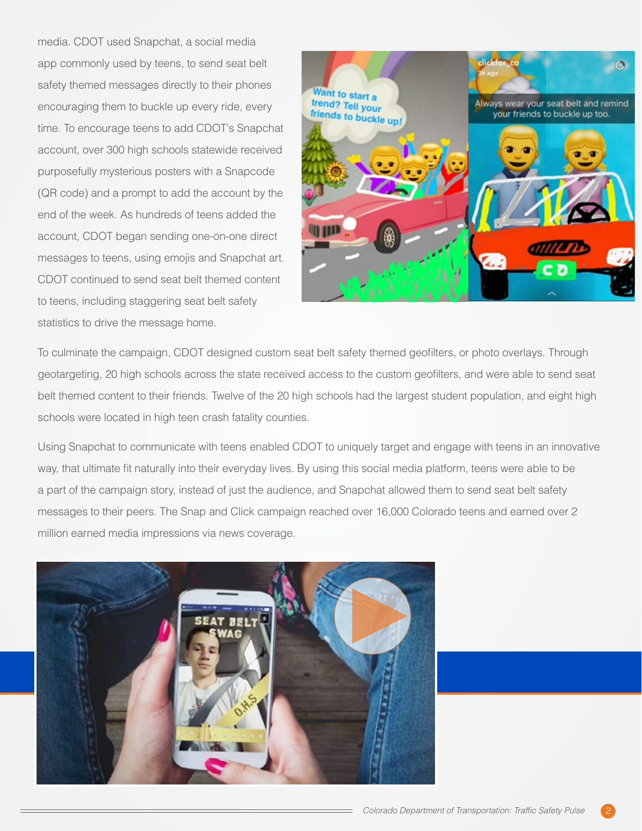media. CDOT used Snapchat, a social media app commonly used by teens, to send seat belt safety themed messages directly to their phones encouraging them to buckle up every ride, every time. To encourage teens to add CDOT's Snapchat account, over 300 high schools statewide received purposefully mysterious posters with a Snapcode (QR code) and a prompt to add the account by the end of the week. As hundreds of teens added the account, CDOT began sending one-on-one direct messages to teens, using emojis and Snapchat art. CDOT continued to send seat belt themed content to teens, including staggering seat belt safety statistics to drive the message home.



To culminate the campaign, CDOT designed custom seat belt safety themed geofilters, or photo overlays. Through geotargeting, 20 high schools across the state received access to the custom geofilters, and were able to send seat belt themed content to their friends. Twelve of the 20 high schools had the largest student population, and eight high schools were located in high teen crash fatality counties.

Using Snapchat to communicate with teens enabled CDOT to uniquely target and engage with teens in an innovative way, that ultimate fit naturally into their everyday lives. By using this social media platform, teens were able to be a part of the campaign story, instead of just the audience, and Snapchat allowed them to send seat belt safety messages to their peers. The Snap and Click campaign reached over 16,000 Colorado teens and earned over 2 million earned media impressions via news coverage.



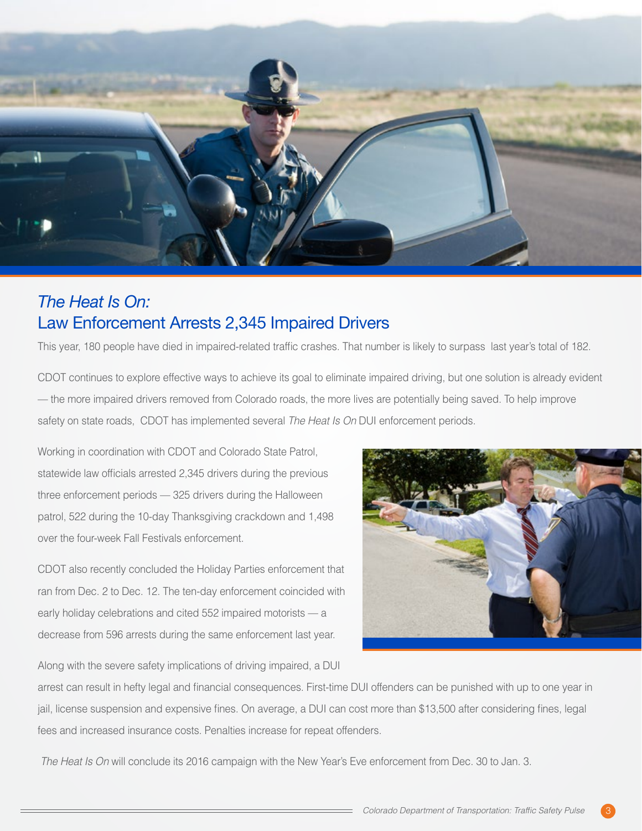

### *The Heat Is On:*  Law Enforcement Arrests 2,345 Impaired Drivers

This year, 180 people have died in impaired-related traffic crashes. That number is likely to surpass last year's total of 182.

CDOT continues to explore effective ways to achieve its goal to eliminate impaired driving, but one solution is already evident — the more impaired drivers removed from Colorado roads, the more lives are potentially being saved. To help improve safety on state roads, CDOT has implemented several *The Heat Is On* DUI enforcement periods.

Working in coordination with CDOT and Colorado State Patrol, statewide law officials arrested 2,345 drivers during the previous three enforcement periods — 325 drivers during the Halloween patrol, 522 during the 10-day Thanksgiving crackdown and 1,498 over the four-week Fall Festivals enforcement.

CDOT also recently concluded the Holiday Parties enforcement that ran from Dec. 2 to Dec. 12. The ten-day enforcement coincided with early holiday celebrations and cited 552 impaired motorists — a decrease from 596 arrests during the same enforcement last year.



Along with the severe safety implications of driving impaired, a DUI

arrest can result in hefty legal and financial consequences. First-time DUI offenders can be punished with up to one year in jail, license suspension and expensive fines. On average, a DUI can cost more than \$13,500 after considering fines, legal fees and increased insurance costs. Penalties increase for repeat offenders.

 *The Heat Is On* will conclude its 2016 campaign with the New Year's Eve enforcement from Dec. 30 to Jan. 3.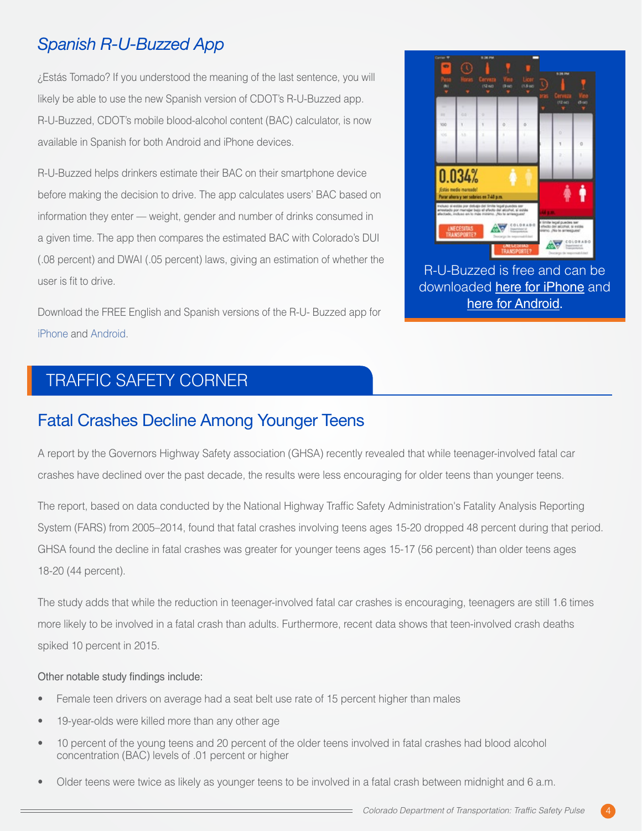## *Spanish R-U-Buzzed App*

¿Estás Tomado? If you understood the meaning of the last sentence, you will likely be able to use the new Spanish version of CDOT's R-U-Buzzed app. R-U-Buzzed, CDOT's mobile blood-alcohol content (BAC) calculator, is now available in Spanish for both Android and iPhone devices.

R-U-Buzzed helps drinkers estimate their BAC on their smartphone device before making the decision to drive. The app calculates users' BAC based on information they enter — weight, gender and number of drinks consumed in a given time. The app then compares the estimated BAC with Colorado's DUI (.08 percent) and DWAI (.05 percent) laws, giving an estimation of whether the user is fit to drive.

Download the FREE English and Spanish versions of the R-U- Buzzed app for [iPhone](https://itunes.apple.com/WebObjects/MZStore.woa/wa/viewSoftware?id=1162840904&mt=8) and [Android.](https://play.google.com/store/apps/details?id=com.cdot.rubuzzed.spanish&hl=en)

# TRAFFIC SAFETY CORNER

### Fatal Crashes Decline Among Younger Teens

A report by the Governors Highway Safety association (GHSA) recently revealed that while teenager-involved fatal car crashes have declined over the past decade, the results were less encouraging for older teens than younger teens.

The report, based on data conducted by the National Highway Traffic Safety Administration's Fatality Analysis Reporting System (FARS) from 2005–2014, found that fatal crashes involving teens ages 15-20 dropped 48 percent during that period. GHSA found the decline in fatal crashes was greater for younger teens ages 15-17 (56 percent) than older teens ages 18-20 (44 percent).

The study adds that while the reduction in teenager-involved fatal car crashes is encouraging, teenagers are still 1.6 times more likely to be involved in a fatal crash than adults. Furthermore, recent data shows that teen-involved crash deaths spiked 10 percent in 2015.

#### Other notable study findings include:

- Female teen drivers on average had a seat belt use rate of 15 percent higher than males
- 19-year-olds were killed more than any other age
- 10 percent of the young teens and 20 percent of the older teens involved in fatal crashes had blood alcohol concentration (BAC) levels of .01 percent or higher
- Older teens were twice as likely as younger teens to be involved in a fatal crash between midnight and 6 a.m.



R-U-Buzzed is free and can be downloaded [here for iPhone](https://itunes.apple.com/WebObjects/MZStore.woa/wa/viewSoftware?id=1162840904&mt=8) and [here for Android.](https://play.google.com/store/apps/details?id=com.cdot.rubuzzed.spanish&hl=en)

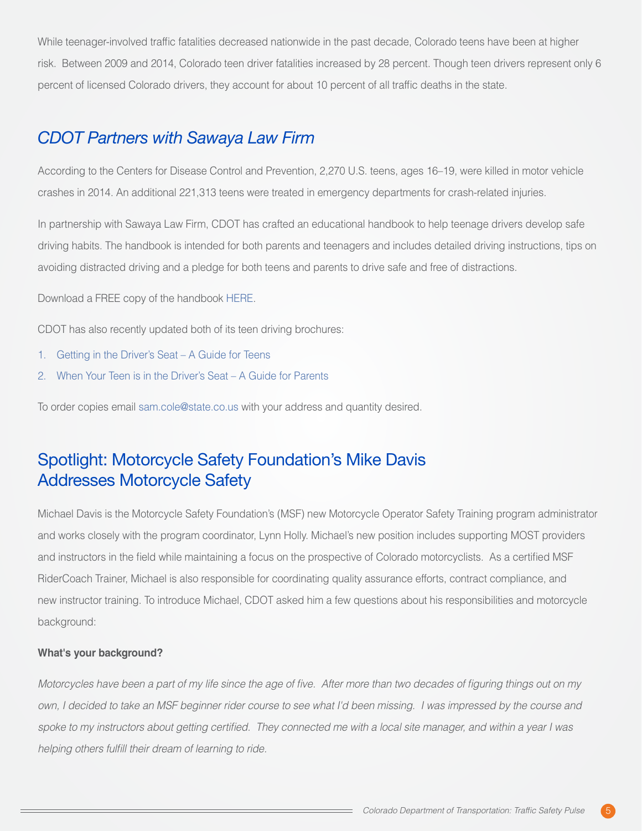While teenager-involved traffic fatalities decreased nationwide in the past decade, Colorado teens have been at higher risk. Between 2009 and 2014, Colorado teen driver fatalities increased by 28 percent. Though teen drivers represent only 6 percent of licensed Colorado drivers, they account for about 10 percent of all traffic deaths in the state.

### *CDOT Partners with Sawaya Law Firm*

According to the Centers for Disease Control and Prevention, 2,270 U.S. teens, ages 16–19, were killed in motor vehicle crashes in 2014. An additional 221,313 teens were treated in emergency departments for crash-related injuries.

In partnership with Sawaya Law Firm, CDOT has crafted an educational handbook to help teenage drivers develop safe driving habits. The handbook is intended for both parents and teenagers and includes detailed driving instructions, tips on avoiding distracted driving and a pledge for both teens and parents to drive safe and free of distractions.

Download a FREE copy of the handbook [HERE.](https://www.sawayalaw.com/teen-drivers-lp1/)

CDOT has also recently updated both of its teen driving brochures:

- 1. [Getting in the Driver's Seat A Guide for Teens](https://www.codot.gov/safety/colorado-teen-drivers/new-documents/teendriving_teenbrochure.pdf)
- 2. [When Your Teen is in the Driver's Seat A Guide for Parents](https://www.codot.gov/safety/colorado-teen-drivers/new-documents/teendriving_parentbrochure.pdf)

To order copies email [sam.cole@state.co.us](mailto:sam.cole@state.co.us) with your address and quantity desired.

### Spotlight: Motorcycle Safety Foundation's Mike Davis Addresses Motorcycle Safety

Michael Davis is the Motorcycle Safety Foundation's (MSF) new Motorcycle Operator Safety Training program administrator and works closely with the program coordinator, Lynn Holly. Michael's new position includes supporting MOST providers and instructors in the field while maintaining a focus on the prospective of Colorado motorcyclists. As a certified MSF RiderCoach Trainer, Michael is also responsible for coordinating quality assurance efforts, contract compliance, and new instructor training. To introduce Michael, CDOT asked him a few questions about his responsibilities and motorcycle background:

#### **What's your background?**

*Motorcycles have been a part of my life since the age of five. After more than two decades of figuring things out on my own, I decided to take an MSF beginner rider course to see what I'd been missing. I was impressed by the course and*  spoke to my instructors about getting certified. They connected me with a local site manager, and within a year I was *helping others fulfill their dream of learning to ride.*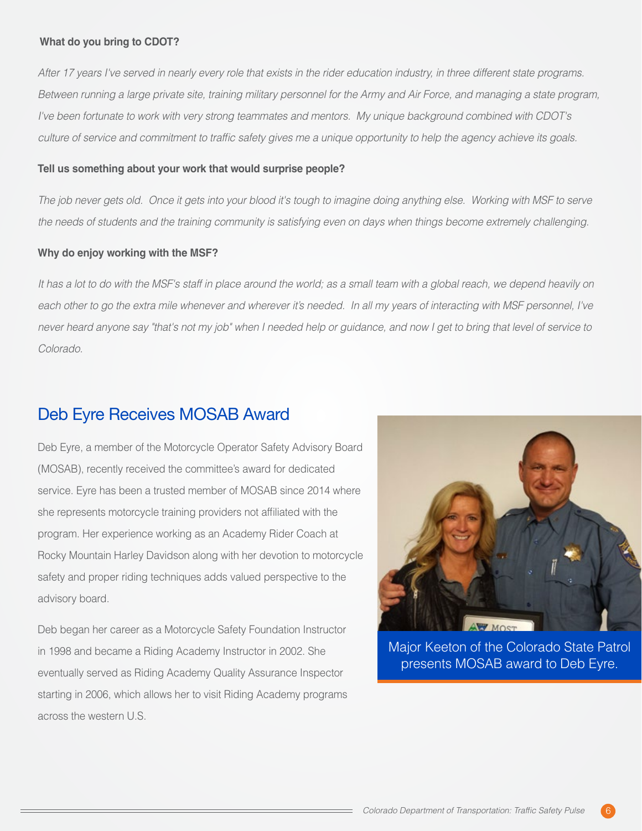#### **What do you bring to CDOT?**

*After 17 years I've served in nearly every role that exists in the rider education industry, in three different state programs. Between running a large private site, training military personnel for the Army and Air Force, and managing a state program, I've been fortunate to work with very strong teammates and mentors. My unique background combined with CDOT's culture of service and commitment to traffic safety gives me a unique opportunity to help the agency achieve its goals.*

#### **Tell us something about your work that would surprise people?**

*The job never gets old. Once it gets into your blood it's tough to imagine doing anything else. Working with MSF to serve the needs of students and the training community is satisfying even on days when things become extremely challenging.* 

#### **Why do enjoy working with the MSF?**

It has a lot to do with the MSF's staff in place around the world; as a small team with a global reach, we depend heavily on each other to go the extra mile whenever and wherever it's needed. In all my years of interacting with MSF personnel, I've *never heard anyone say "that's not my job" when I needed help or guidance, and now I get to bring that level of service to Colorado.*

#### Deb Eyre Receives MOSAB Award

Deb Eyre, a member of the Motorcycle Operator Safety Advisory Board (MOSAB), recently received the committee's award for dedicated service. Eyre has been a trusted member of MOSAB since 2014 where she represents motorcycle training providers not affiliated with the program. Her experience working as an Academy Rider Coach at Rocky Mountain Harley Davidson along with her devotion to motorcycle safety and proper riding techniques adds valued perspective to the advisory board.

Deb began her career as a Motorcycle Safety Foundation Instructor in 1998 and became a Riding Academy Instructor in 2002. She eventually served as Riding Academy Quality Assurance Inspector starting in 2006, which allows her to visit Riding Academy programs across the western U.S.



Major Keeton of the Colorado State Patrol presents MOSAB award to Deb Eyre.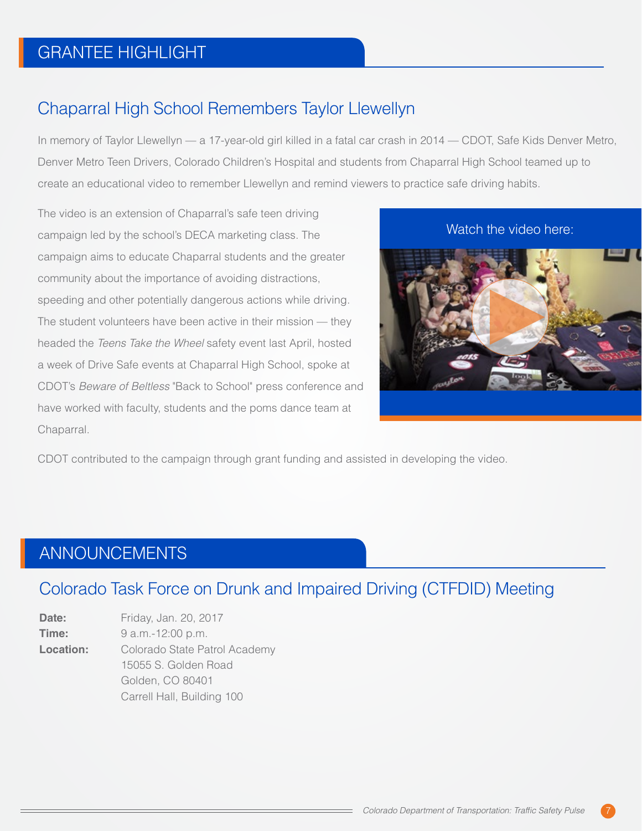# GRANTEE HIGHLIGHT

### Chaparral High School Remembers Taylor Llewellyn

In memory of Taylor Llewellyn — a 17-year-old girl killed in a fatal car crash in 2014 — CDOT, Safe Kids Denver Metro, Denver Metro Teen Drivers, Colorado Children's Hospital and students from Chaparral High School teamed up to create an educational video to remember Llewellyn and remind viewers to practice safe driving habits.

The video is an extension of Chaparral's safe teen driving campaign led by the school's DECA marketing class. The campaign aims to educate Chaparral students and the greater community about the importance of avoiding distractions, speeding and other potentially dangerous actions while driving. The student volunteers have been active in their mission — they headed the *Teens Take the Wheel* safety event last April, hosted a week of Drive Safe events at Chaparral High School, spoke at CDOT's *Beware of Beltless* "Back to School" press conference and have worked with faculty, students and the poms dance team at Chaparral.



CDOT contributed to the campaign through grant funding and assisted in developing the video.

### ANNOUNCEMENTS

### Colorado Task Force on Drunk and Impaired Driving (CTFDID) Meeting

**Date:** Friday, Jan. 20, 2017 **Time:** 9 a.m.-12:00 p.m. **Location:** Colorado State Patrol Academy 15055 S. Golden Road Golden, CO 80401 Carrell Hall, Building 100